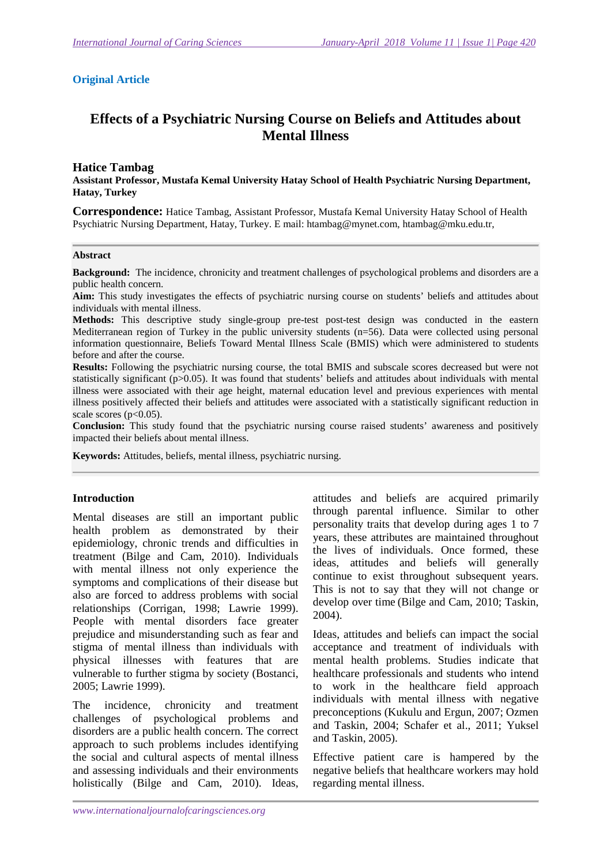### **Original Article**

# **Effects of a Psychiatric Nursing Course on Beliefs and Attitudes about Mental Illness**

#### **Hatice Tambag**

**Assistant Professor, Mustafa Kemal University Hatay School of Health Psychiatric Nursing Department, Hatay, Turkey** 

**Correspondence:** Hatice Tambag, Assistant Professor, Mustafa Kemal University Hatay School of Health Psychiatric Nursing Department, Hatay, Turkey. E mail: htambag@mynet.com, htambag@mku.edu.tr,

#### **Abstract**

**Background:** The incidence, chronicity and treatment challenges of psychological problems and disorders are a public health concern.

**Aim:** This study investigates the effects of psychiatric nursing course on students' beliefs and attitudes about individuals with mental illness.

**Methods:** This descriptive study single-group pre-test post-test design was conducted in the eastern Mediterranean region of Turkey in the public university students (n=56). Data were collected using personal information questionnaire, Beliefs Toward Mental Illness Scale (BMIS) which were administered to students before and after the course.

**Results:** Following the psychiatric nursing course, the total BMIS and subscale scores decreased but were not statistically significant (p>0.05). It was found that students' beliefs and attitudes about individuals with mental illness were associated with their age height, maternal education level and previous experiences with mental illness positively affected their beliefs and attitudes were associated with a statistically significant reduction in scale scores ( $p<0.05$ ).

**Conclusion:** This study found that the psychiatric nursing course raised students' awareness and positively impacted their beliefs about mental illness.

**Keywords:** Attitudes, beliefs, mental illness, psychiatric nursing.

#### **Introduction**

Mental diseases are still an important public health problem as demonstrated by their epidemiology, chronic trends and difficulties in treatment (Bilge and Cam, 2010). Individuals with mental illness not only experience the symptoms and complications of their disease but also are forced to address problems with social relationships (Corrigan, 1998; Lawrie 1999). People with mental disorders face greater prejudice and misunderstanding such as fear and stigma of mental illness than individuals with physical illnesses with features that are vulnerable to further stigma by society (Bostanci, 2005; Lawrie 1999).

The incidence, chronicity and treatment challenges of psychological problems and disorders are a public health concern. The correct approach to such problems includes identifying the social and cultural aspects of mental illness and assessing individuals and their environments holistically (Bilge and Cam, 2010). Ideas,

attitudes and beliefs are acquired primarily through parental influence. Similar to other personality traits that develop during ages 1 to 7 years, these attributes are maintained throughout the lives of individuals. Once formed, these ideas, attitudes and beliefs will generally continue to exist throughout subsequent years. This is not to say that they will not change or develop over time (Bilge and Cam, 2010; Taskin, 2004).

Ideas, attitudes and beliefs can impact the social acceptance and treatment of individuals with mental health problems. Studies indicate that healthcare professionals and students who intend to work in the healthcare field approach individuals with mental illness with negative preconceptions (Kukulu and Ergun, 2007; Ozmen and Taskin, 2004; Schafer et al., 2011; Yuksel and Taskin, 2005).

Effective patient care is hampered by the negative beliefs that healthcare workers may hold regarding mental illness.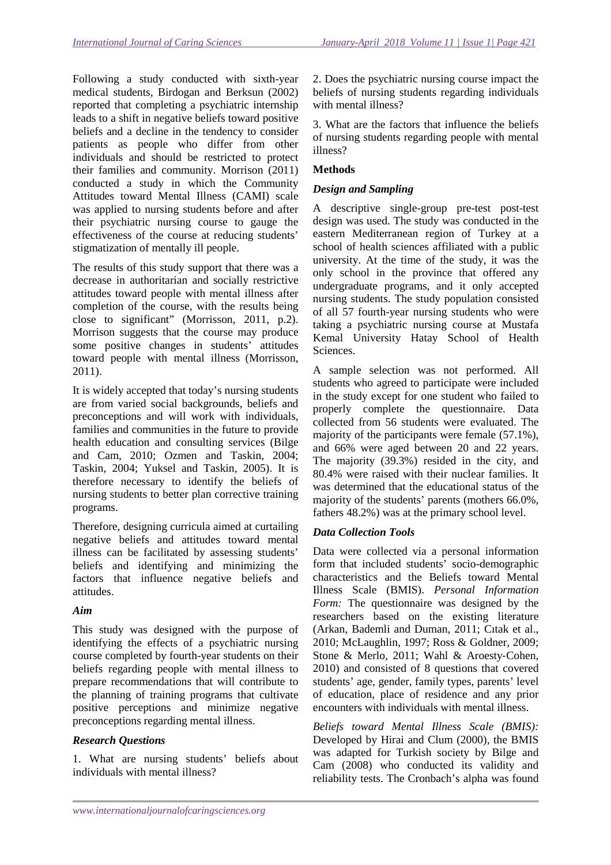Following a study conducted with sixth-year medical students, Birdogan and Berksun (2002) reported that completing a psychiatric internship leads to a shift in negative beliefs toward positive beliefs and a decline in the tendency to consider patients as people who differ from other individuals and should be restricted to protect their families and community. Morrison (2011) conducted a study in which the Community Attitudes toward Mental Illness (CAMI) scale was applied to nursing students before and after their psychiatric nursing course to gauge the effectiveness of the course at reducing students' stigmatization of mentally ill people.

The results of this study support that there was a decrease in authoritarian and socially restrictive attitudes toward people with mental illness after completion of the course, with the results being close to significant" (Morrisson, 2011, p.2). Morrison suggests that the course may produce some positive changes in students' attitudes toward people with mental illness (Morrisson, 2011).

It is widely accepted that today's nursing students are from varied social backgrounds, beliefs and preconceptions and will work with individuals, families and communities in the future to provide health education and consulting services (Bilge and Cam, 2010; Ozmen and Taskin, 2004; Taskin, 2004; Yuksel and Taskin, 2005). It is therefore necessary to identify the beliefs of nursing students to better plan corrective training programs.

Therefore, designing curricula aimed at curtailing negative beliefs and attitudes toward mental illness can be facilitated by assessing students' beliefs and identifying and minimizing the factors that influence negative beliefs and attitudes.

### *Aim*

This study was designed with the purpose of identifying the effects of a psychiatric nursing course completed by fourth-year students on their beliefs regarding people with mental illness to prepare recommendations that will contribute to the planning of training programs that cultivate positive perceptions and minimize negative preconceptions regarding mental illness.

### *Research Questions*

1. What are nursing students' beliefs about individuals with mental illness?

2. Does the psychiatric nursing course impact the beliefs of nursing students regarding individuals with mental illness?

3. What are the factors that influence the beliefs of nursing students regarding people with mental illness?

# **Methods**

### *Design and Sampling*

A descriptive single-group pre-test post-test design was used. The study was conducted in the eastern Mediterranean region of Turkey at a school of health sciences affiliated with a public university. At the time of the study, it was the only school in the province that offered any undergraduate programs, and it only accepted nursing students. The study population consisted of all 57 fourth-year nursing students who were taking a psychiatric nursing course at Mustafa Kemal University Hatay School of Health Sciences.

A sample selection was not performed. All students who agreed to participate were included in the study except for one student who failed to properly complete the questionnaire. Data collected from 56 students were evaluated. The majority of the participants were female (57.1%), and 66% were aged between 20 and 22 years. The majority (39.3%) resided in the city, and 80.4% were raised with their nuclear families. It was determined that the educational status of the majority of the students' parents (mothers 66.0%, fathers 48.2%) was at the primary school level.

### *Data Collection Tools*

Data were collected via a personal information form that included students' socio-demographic characteristics and the Beliefs toward Mental Illness Scale (BMIS). *Personal Information Form:* The questionnaire was designed by the researchers based on the existing literature (Arkan, Bademli and Duman, 2011; Cıtak et al., 2010; McLaughlin, 1997; Ross & Goldner, 2009; Stone & Merlo, 2011; Wahl & Aroesty‐Cohen, 2010) and consisted of 8 questions that covered students' age, gender, family types, parents' level of education, place of residence and any prior encounters with individuals with mental illness.

*Beliefs toward Mental Illness Scale (BMIS):* Developed by Hirai and Clum (2000), the BMIS was adapted for Turkish society by Bilge and Cam (2008) who conducted its validity and reliability tests. The Cronbach's alpha was found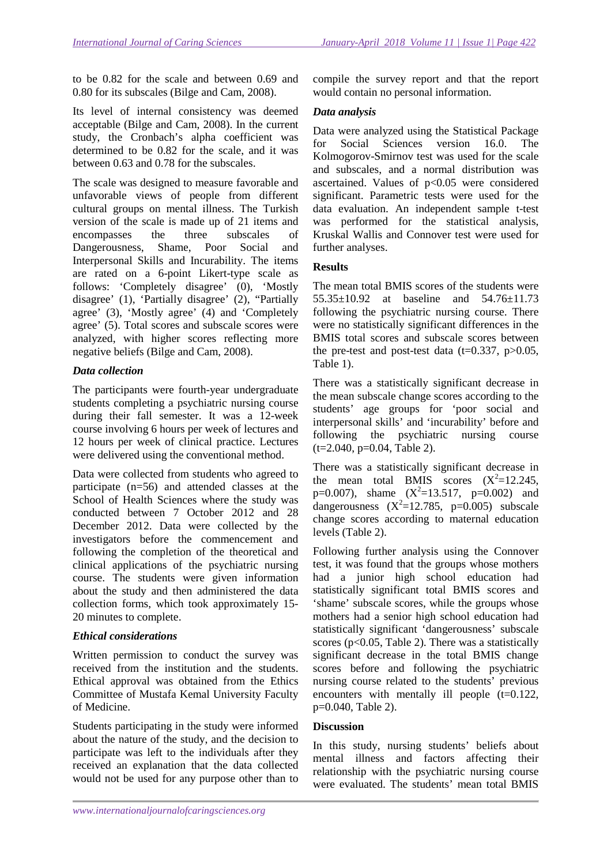to be 0.82 for the scale and between 0.69 and 0.80 for its subscales (Bilge and Cam, 2008).

Its level of internal consistency was deemed acceptable (Bilge and Cam, 2008). In the current study, the Cronbach's alpha coefficient was determined to be 0.82 for the scale, and it was between 0.63 and 0.78 for the subscales.

The scale was designed to measure favorable and unfavorable views of people from different cultural groups on mental illness. The Turkish version of the scale is made up of 21 items and encompasses the three subscales of Dangerousness, Shame, Poor Social and Interpersonal Skills and Incurability. The items are rated on a 6-point Likert-type scale as follows: 'Completely disagree' (0), 'Mostly disagree' (1), 'Partially disagree' (2), "Partially agree' (3), 'Mostly agree' (4) and 'Completely agree' (5). Total scores and subscale scores were analyzed, with higher scores reflecting more negative beliefs (Bilge and Cam, 2008).

# *Data collection*

The participants were fourth-year undergraduate students completing a psychiatric nursing course during their fall semester. It was a 12-week course involving 6 hours per week of lectures and 12 hours per week of clinical practice. Lectures were delivered using the conventional method.

Data were collected from students who agreed to participate (n=56) and attended classes at the School of Health Sciences where the study was conducted between 7 October 2012 and 28 December 2012. Data were collected by the investigators before the commencement and following the completion of the theoretical and clinical applications of the psychiatric nursing course. The students were given information about the study and then administered the data collection forms, which took approximately 15- 20 minutes to complete.

# *Ethical considerations*

Written permission to conduct the survey was received from the institution and the students. Ethical approval was obtained from the Ethics Committee of Mustafa Kemal University Faculty of Medicine.

Students participating in the study were informed about the nature of the study, and the decision to participate was left to the individuals after they received an explanation that the data collected would not be used for any purpose other than to

compile the survey report and that the report would contain no personal information.

# *Data analysis*

Data were analyzed using the Statistical Package for Social Sciences version 16.0. The Kolmogorov-Smirnov test was used for the scale and subscales, and a normal distribution was ascertained. Values of p<0.05 were considered significant. Parametric tests were used for the data evaluation. An independent sample t-test was performed for the statistical analysis, Kruskal Wallis and Connover test were used for further analyses.

# **Results**

The mean total BMIS scores of the students were 55.35±10.92 at baseline and 54.76±11.73 following the psychiatric nursing course. There were no statistically significant differences in the BMIS total scores and subscale scores between the pre-test and post-test data ( $t=0.337$ ,  $p>0.05$ , Table 1).

There was a statistically significant decrease in the mean subscale change scores according to the students' age groups for 'poor social and interpersonal skills' and 'incurability' before and following the psychiatric nursing course  $(t=2.040, p=0.04, Table 2).$ 

There was a statistically significant decrease in the mean total BMIS scores  $(X^2=12.245,$ p=0.007), shame  $(X^2=13.517, p=0.002)$  and dangerousness  $(X^2=12.785, p=0.005)$  subscale change scores according to maternal education levels (Table 2).

Following further analysis using the Connover test, it was found that the groups whose mothers had a junior high school education had statistically significant total BMIS scores and 'shame' subscale scores, while the groups whose mothers had a senior high school education had statistically significant 'dangerousness' subscale scores ( $p<0.05$ , Table 2). There was a statistically significant decrease in the total BMIS change scores before and following the psychiatric nursing course related to the students' previous encounters with mentally ill people  $(t=0.122)$ , p=0.040, Table 2).

# **Discussion**

In this study, nursing students' beliefs about mental illness and factors affecting their relationship with the psychiatric nursing course were evaluated. The students' mean total BMIS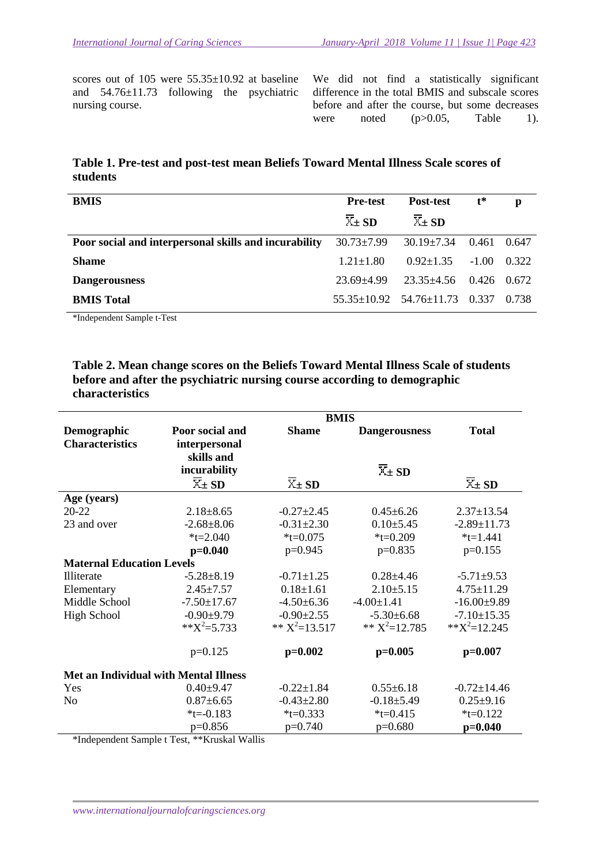scores out of 105 were  $55.35 \pm 10.92$  at baseline and 54.76±11.73 following the psychiatric nursing course.

We did not find a statistically significant difference in the total BMIS and subscale scores before and after the course, but some decreases were noted  $(p>0.05,$  Table 1).

# **Table 1. Pre-test and post-test mean Beliefs Toward Mental Illness Scale scores of students**

| <b>BMIS</b>                                           | <b>Pre-test</b>                   | Post-test                                 | $\mathbf{t}^*$ | p     |
|-------------------------------------------------------|-----------------------------------|-------------------------------------------|----------------|-------|
|                                                       | $\overline{X}_{\pm}$ SD           | $\overline{X}_{\pm}$ SD                   |                |       |
| Poor social and interpersonal skills and incurability | $30.73 \pm 7.99$ $30.19 \pm 7.34$ |                                           | 0.461          | 0.647 |
| Shame                                                 | $1.21 + 1.80$                     | $0.92 \pm 1.35$                           | $-1.00$        | 0.322 |
| <b>Dangerousness</b>                                  | $23.69 + 4.99$                    | $23.35 \pm 4.56$ 0.426 0.672              |                |       |
| <b>BMIS</b> Total                                     |                                   | $55.35 \pm 10.92$ $54.76 \pm 11.73$ 0.337 |                | 0.738 |

\*Independent Sample t-Test

#### **Table 2. Mean change scores on the Beliefs Toward Mental Illness Scale of students before and after the psychiatric nursing course according to demographic characteristics**

|                                              | <b>BMIS</b>                                                    |                         |                         |                            |  |  |  |
|----------------------------------------------|----------------------------------------------------------------|-------------------------|-------------------------|----------------------------|--|--|--|
| Demographic                                  | Poor social and                                                | <b>Shame</b>            | <b>Dangerousness</b>    | <b>Total</b>               |  |  |  |
| <b>Characteristics</b>                       | interpersonal                                                  |                         |                         |                            |  |  |  |
|                                              | skills and                                                     |                         |                         |                            |  |  |  |
|                                              | incurability                                                   |                         | $\overline{X}_{\pm}$ SD |                            |  |  |  |
|                                              | $\overline{X}$ + SD                                            | $\overline{X}_{\pm}$ SD |                         | $\overline{X}_{\pm}$ SD    |  |  |  |
| Age (years)                                  |                                                                |                         |                         |                            |  |  |  |
| 20-22                                        | $2.18 \pm 8.65$                                                | $-0.27 \pm 2.45$        | $0.45 \pm 6.26$         | $2.37 \pm 13.54$           |  |  |  |
| 23 and over                                  | $-2.68 \pm 8.06$                                               | $-0.31 \pm 2.30$        | $0.10 \pm 5.45$         | $-2.89 \pm 11.73$          |  |  |  |
|                                              | $*t = 2.040$                                                   | $*t = 0.075$            | $*t=0.209$              | $*t=1.441$                 |  |  |  |
|                                              | $p=0.040$                                                      | $p=0.945$               | $p=0.835$               | $p=0.155$                  |  |  |  |
| <b>Maternal Education Levels</b>             |                                                                |                         |                         |                            |  |  |  |
| Illiterate                                   | $-5.28 \pm 8.19$                                               | $-0.71 \pm 1.25$        | $0.28 + 4.46$           | $-5.71 \pm 9.53$           |  |  |  |
| Elementary                                   | $2.45 \pm 7.57$                                                | $0.18 \pm 1.61$         | $2.10 \pm 5.15$         | $4.75 \pm 11.29$           |  |  |  |
| Middle School                                | $-7.50 \pm 17.67$                                              | $-4.50 \pm 6.36$        | $-4.00 \pm 1.41$        | $-16.00+9.89$              |  |  |  |
| <b>High School</b>                           | $-0.90+9.79$                                                   | $-0.90 \pm 2.55$        | $-5.30\pm 6.68$         | $-7.10 \pm 15.35$          |  |  |  |
|                                              | $**X^2=5.733$                                                  | ** $X^2$ =13.517        | ** $X^2=12.785$         | $*$ $\times$ $X^2$ =12.245 |  |  |  |
|                                              | $p=0.125$                                                      | $p=0.002$               | $p=0.005$               | $p=0.007$                  |  |  |  |
| <b>Met an Individual with Mental Illness</b> |                                                                |                         |                         |                            |  |  |  |
| Yes                                          | $0.40{\pm}9.47$                                                | $-0.22 \pm 1.84$        | $0.55 \pm 6.18$         | $-0.72 \pm 14.46$          |  |  |  |
| No                                           | $0.87 + 6.65$                                                  | $-0.43 \pm 2.80$        | $-0.18 \pm 5.49$        | $0.25 \pm 9.16$            |  |  |  |
|                                              | $*t = -0.183$                                                  | $*t=0.333$              | $*t = 0.415$            | $*t=0.122$                 |  |  |  |
| $\sim$ $\sim$ $\sim$<br>$AB = 1$             | $p=0.856$<br>$1.5000 \times 0.0000$<br>$1 - 1$ <b>XXY</b> $11$ | $p=0.740$               | $p=0.680$               | $p=0.040$                  |  |  |  |

\*Independent Sample t Test, \*\*Kruskal Wallis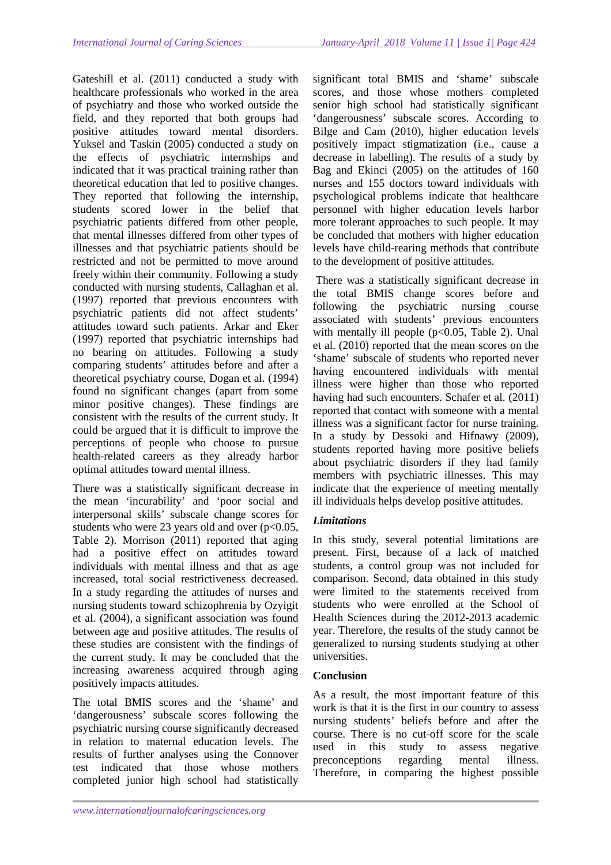significant total BMIS and 'shame' subscale

Gateshill et al. (2011) conducted a study with healthcare professionals who worked in the area of psychiatry and those who worked outside the field, and they reported that both groups had positive attitudes toward mental disorders. Yuksel and Taskin (2005) conducted a study on the effects of psychiatric internships and indicated that it was practical training rather than theoretical education that led to positive changes. They reported that following the internship, students scored lower in the belief that psychiatric patients differed from other people, that mental illnesses differed from other types of illnesses and that psychiatric patients should be restricted and not be permitted to move around freely within their community. Following a study conducted with nursing students, Callaghan et al. (1997) reported that previous encounters with psychiatric patients did not affect students' attitudes toward such patients. Arkar and Eker (1997) reported that psychiatric internships had no bearing on attitudes. Following a study comparing students' attitudes before and after a theoretical psychiatry course, Dogan et al. (1994) found no significant changes (apart from some minor positive changes). These findings are consistent with the results of the current study. It could be argued that it is difficult to improve the perceptions of people who choose to pursue health-related careers as they already harbor optimal attitudes toward mental illness.

There was a statistically significant decrease in the mean 'incurability' and 'poor social and interpersonal skills' subscale change scores for students who were 23 years old and over  $(p<0.05$ , Table 2). Morrison (2011) reported that aging had a positive effect on attitudes toward individuals with mental illness and that as age increased, total social restrictiveness decreased. In a study regarding the attitudes of nurses and nursing students toward schizophrenia by Ozyigit et al. (2004), a significant association was found between age and positive attitudes. The results of these studies are consistent with the findings of the current study. It may be concluded that the increasing awareness acquired through aging positively impacts attitudes.

The total BMIS scores and the 'shame' and 'dangerousness' subscale scores following the psychiatric nursing course significantly decreased in relation to maternal education levels. The results of further analyses using the Connover test indicated that those whose mothers completed junior high school had statistically

scores, and those whose mothers completed senior high school had statistically significant 'dangerousness' subscale scores. According to Bilge and Cam (2010), higher education levels positively impact stigmatization (i.e., cause a decrease in labelling). The results of a study by Bag and Ekinci (2005) on the attitudes of 160 nurses and 155 doctors toward individuals with psychological problems indicate that healthcare personnel with higher education levels harbor more tolerant approaches to such people. It may be concluded that mothers with higher education levels have child-rearing methods that contribute to the development of positive attitudes. There was a statistically significant decrease in

the total BMIS change scores before and following the psychiatric nursing course associated with students' previous encounters with mentally ill people  $(p<0.05$ , Table 2). Unal et al. (2010) reported that the mean scores on the 'shame' subscale of students who reported never having encountered individuals with mental illness were higher than those who reported having had such encounters. Schafer et al. (2011) reported that contact with someone with a mental illness was a significant factor for nurse training. In a study by Dessoki and Hifnawy (2009), students reported having more positive beliefs about psychiatric disorders if they had family members with psychiatric illnesses. This may indicate that the experience of meeting mentally ill individuals helps develop positive attitudes.

# *Limitations*

In this study, several potential limitations are present. First, because of a lack of matched students, a control group was not included for comparison. Second, data obtained in this study were limited to the statements received from students who were enrolled at the School of Health Sciences during the 2012-2013 academic year. Therefore, the results of the study cannot be generalized to nursing students studying at other universities.

### **Conclusion**

As a result, the most important feature of this work is that it is the first in our country to assess nursing students' beliefs before and after the course. There is no cut-off score for the scale used in this study to assess negative preconceptions regarding mental illness. Therefore, in comparing the highest possible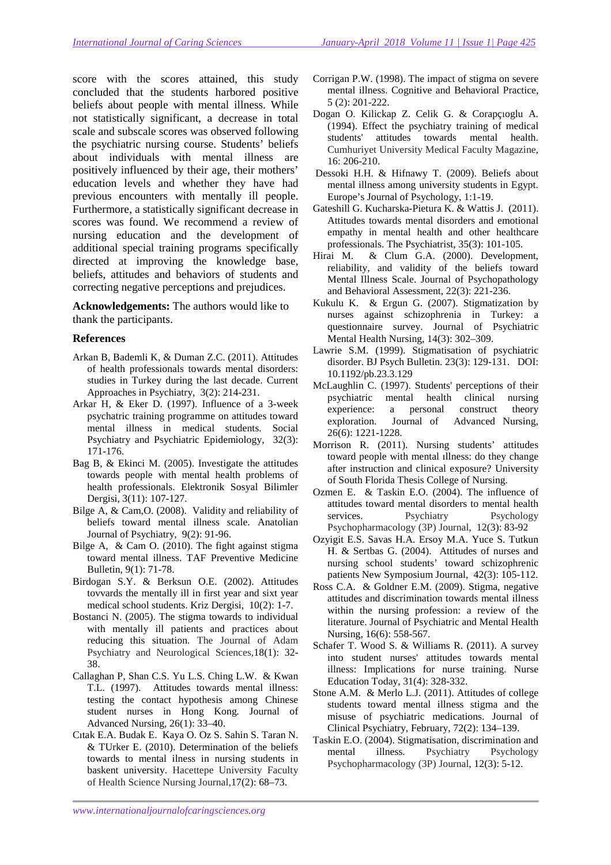score with the scores attained, this study concluded that the students harbored positive beliefs about people with mental illness. While not statistically significant, a decrease in total scale and subscale scores was observed following the psychiatric nursing course. Students' beliefs about individuals with mental illness are positively influenced by their age, their mothers' education levels and whether they have had previous encounters with mentally ill people. Furthermore, a statistically significant decrease in scores was found. We recommend a review of nursing education and the development of additional special training programs specifically directed at improving the knowledge base, beliefs, attitudes and behaviors of students and correcting negative perceptions and prejudices.

**Acknowledgements:** The authors would like to thank the participants.

#### **References**

- Arkan B, Bademli K, & Duman Z.C. (2011). Attitudes of health professionals towards mental disorders: studies in Turkey during the last decade. Current Approaches in Psychiatry, 3(2): 214-231.
- Arkar H, & Eker D. (1997). Influence of a 3-week psychatric training programme on attitudes toward mental illness in medical students. Social Psychiatry and Psychiatric Epidemiology, 32(3): 171-176.
- Bag B, & Ekinci M. (2005). Investigate the attitudes towards people with mental health problems of health professionals. Elektronik Sosyal Bilimler Dergisi, 3(11): 107-127.
- Bilge A, & Cam,O. (2008). Validity and reliability of beliefs toward mental illness scale. Anatolian Journal of Psychiatry, 9(2): 91-96.
- Bilge A, & Cam O. (2010). The fight against stigma toward mental illness. TAF Preventive Medicine Bulletin*,* 9(1): 71-78.
- Birdogan S.Y. & Berksun O.E. (2002). Attitudes tovvards the mentally ill in first year and sixt year medical school students. Kriz Dergisi, 10(2): 1-7.
- Bostanci N. (2005). The stigma towards to individual with mentally ill patients and practices about reducing this situation. The Journal of Adam Psychiatry and Neurological Sciences,18(1): 32- 38.
- Callaghan P, Shan C.S. Yu L.S. Ching L.W. & Kwan T.L. (1997). Attitudes towards mental illness: testing the contact hypothesis among Chinese student nurses in Hong Kong*.* Journal of Advanced Nursing, 26(1): 33–40.
- Cıtak E.A. Budak E. Kaya O. Oz S. Sahin S. Taran N. & TUrker E. (2010). Determination of the beliefs towards to mental ilness in nursing students in baskent university. Hacettepe University Faculty of Health Science Nursing Journal,17(2): 68–73.
- Corrigan P.W. (1998). The impact of stigma on severe mental illness. Cognitive and Behavioral Practice, 5 (2): 201-222.
- Dogan O. Kilickap Z. Celik G. & Corapçıoglu A. (1994). Effect the psychiatry training of medical students' attitudes towards mental health. Cumhuriyet University Medical Faculty Magazine, 16: 206-210.
- Dessoki H.H. & Hifnawy T. (2009). Beliefs about mental illness among university students in Egypt. Europe's Journal of Psychology, 1:1-19.
- Gateshill G. Kucharska-Pietura K. & Wattis J. (2011). Attitudes towards mental disorders and emotional empathy in mental health and other healthcare professionals. The Psychiatrist, 35(3): 101-105.
- Hirai M. & Clum G.A. (2000). Development, reliability, and validity of the beliefs toward Mental Illness Scale. Journal of Psychopathology and Behavioral Assessment, 22(3): 221-236.
- Kukulu K. & Ergun G. (2007). Stigmatization by nurses against schizophrenia in Turkey: a questionnaire survey. Journal of Psychiatric Mental Health Nursing, 14(3): 302–309.
- Lawrie S.M. (1999). Stigmatisation of psychiatric disorder. BJ Psych Bulletin. 23(3): 129-131. DOI: 10.1192/pb.23.3.129
- McLaughlin C. (1997). Students' perceptions of their psychiatric mental health clinical nursing experience: a personal construct theory exploration. Journal of Advanced Nursing, 26(6): 1221-1228.
- Morrison R. (2011). Nursing students' attitudes toward people with mental ıllness: do they change after instruction and clinical exposure? University of South Florida Thesis College of Nursing.
- Ozmen E. & Taskin E.O. (2004). The influence of attitudes toward mental disorders to mental health services. Psychiatry Psychology Psychopharmacology (3P) Journal, 12(3): 83-92
- Ozyigit E.S. Savas H.A. Ersoy M.A. Yuce S. Tutkun H. & Sertbas G. (2004). Attitudes of nurses and nursing school students' toward schizophrenic patients New Symposium Journal, 42(3): 105-112.
- Ross C.A. & Goldner E.M. (2009). Stigma, negative attitudes and discrimination towards mental illness within the nursing profession: a review of the literature. Journal of Psychiatric and Mental Health Nursing, 16(6): 558-567.
- Schafer T. Wood S. & Williams R. (2011). A survey into student nurses' attitudes towards mental illness: Implications for nurse training. Nurse Education Today, 31(4): 328-332.
- Stone A.M. & Merlo L.J. (2011). Attitudes of college students toward mental illness stigma and the misuse of psychiatric medications. Journal of Clinical Psychiatry, February, 72(2): 134–139.
- Taskin E.O. (2004). Stigmatisation, discrimination and mental illness. Psychiatry Psychology Psychopharmacology (3P) Journal, 12(3): 5-12.